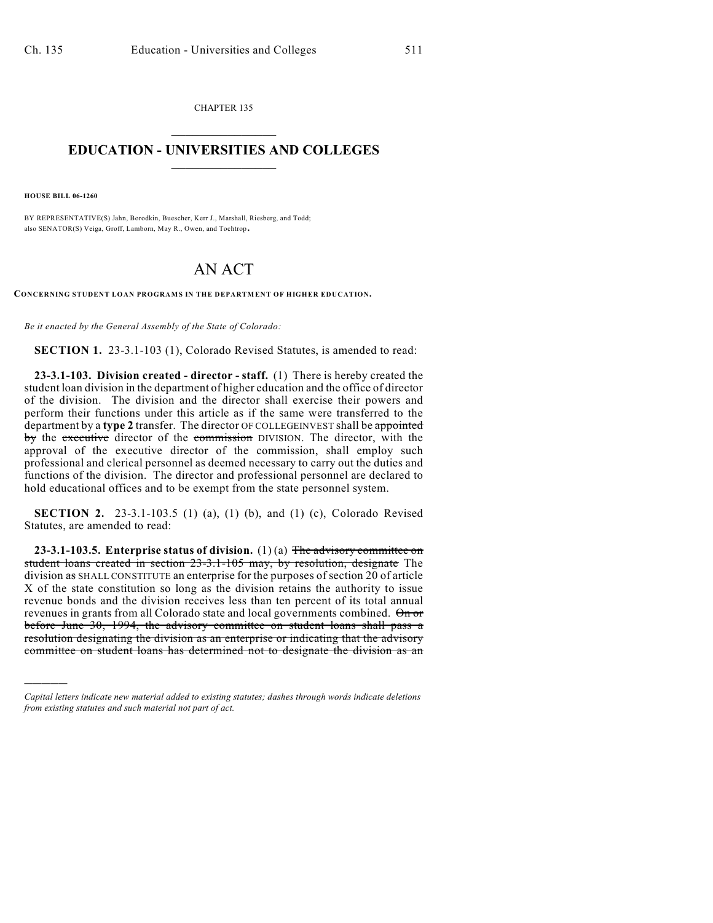CHAPTER 135  $\mathcal{L}_\text{max}$  . The set of the set of the set of the set of the set of the set of the set of the set of the set of the set of the set of the set of the set of the set of the set of the set of the set of the set of the set

## **EDUCATION - UNIVERSITIES AND COLLEGES**  $\frac{1}{2}$  ,  $\frac{1}{2}$  ,  $\frac{1}{2}$  ,  $\frac{1}{2}$  ,  $\frac{1}{2}$  ,  $\frac{1}{2}$  ,  $\frac{1}{2}$

**HOUSE BILL 06-1260**

)))))

BY REPRESENTATIVE(S) Jahn, Borodkin, Buescher, Kerr J., Marshall, Riesberg, and Todd; also SENATOR(S) Veiga, Groff, Lamborn, May R., Owen, and Tochtrop.

## AN ACT

**CONCERNING STUDENT LOAN PROGRAMS IN THE DEPARTMENT OF HIGHER EDUCATION.**

*Be it enacted by the General Assembly of the State of Colorado:*

**SECTION 1.** 23-3.1-103 (1), Colorado Revised Statutes, is amended to read:

**23-3.1-103. Division created - director - staff.** (1) There is hereby created the student loan division in the department of higher education and the office of director of the division. The division and the director shall exercise their powers and perform their functions under this article as if the same were transferred to the department by a **type 2** transfer. The director OF COLLEGEINVEST shall be appointed by the executive director of the commission DIVISION. The director, with the approval of the executive director of the commission, shall employ such professional and clerical personnel as deemed necessary to carry out the duties and functions of the division. The director and professional personnel are declared to hold educational offices and to be exempt from the state personnel system.

**SECTION 2.** 23-3.1-103.5 (1) (a), (1) (b), and (1) (c), Colorado Revised Statutes, are amended to read:

**23-3.1-103.5. Enterprise status of division.** (1) (a) The advisory committee on student loans created in section 23-3.1-105 may, by resolution, designate The division as SHALL CONSTITUTE an enterprise for the purposes of section 20 of article X of the state constitution so long as the division retains the authority to issue revenue bonds and the division receives less than ten percent of its total annual revenues in grants from all Colorado state and local governments combined. On or before June 30, 1994, the advisory committee on student loans shall pass a resolution designating the division as an enterprise or indicating that the advisory committee on student loans has determined not to designate the division as an

*Capital letters indicate new material added to existing statutes; dashes through words indicate deletions from existing statutes and such material not part of act.*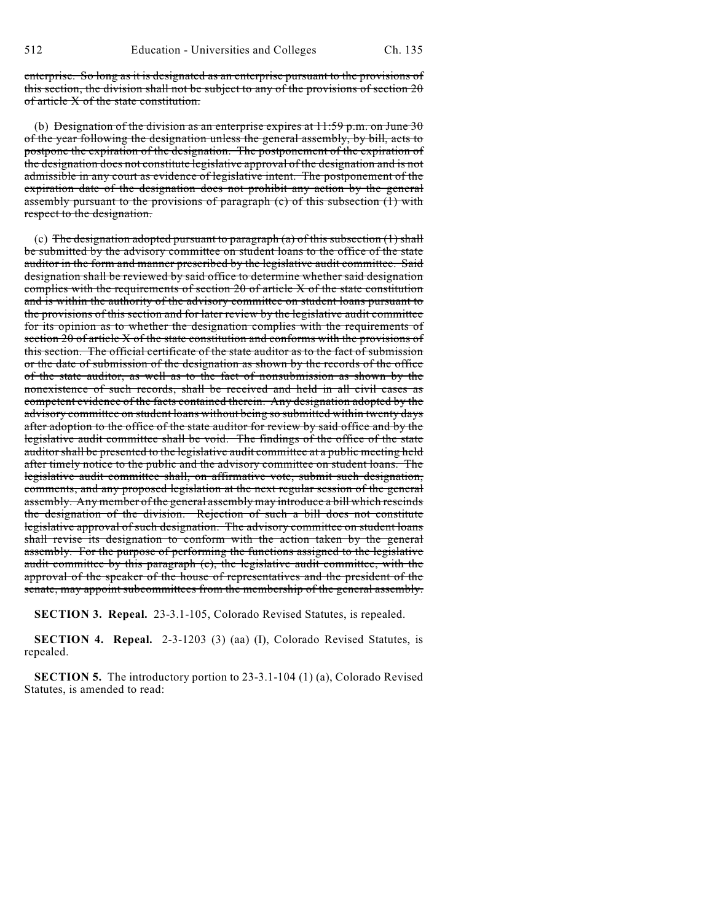enterprise. So long as it is designated as an enterprise pursuant to the provisions of this section, the division shall not be subject to any of the provisions of section 20 of article X of the state constitution.

(b) Designation of the division as an enterprise expires at  $11:59$  p.m. on June 30 of the year following the designation unless the general assembly, by bill, acts to postpone the expiration of the designation. The postponement of the expiration of the designation does not constitute legislative approval of the designation and is not admissible in any court as evidence of legislative intent. The postponement of the expiration date of the designation does not prohibit any action by the general assembly pursuant to the provisions of paragraph (c) of this subsection (1) with respect to the designation.

(c) The designation adopted pursuant to paragraph (a) of this subsection  $(1)$  shall be submitted by the advisory committee on student loans to the office of the state auditor in the form and manner prescribed by the legislative audit committee. Said designation shall be reviewed by said office to determine whether said designation complies with the requirements of section 20 of article X of the state constitution and is within the authority of the advisory committee on student loans pursuant to the provisions of this section and for later review by the legislative audit committee for its opinion as to whether the designation complies with the requirements of section  $20$  of article X of the state constitution and conforms with the provisions of this section. The official certificate of the state auditor as to the fact of submission or the date of submission of the designation as shown by the records of the office of the state auditor, as well as to the fact of nonsubmission as shown by the nonexistence of such records, shall be received and held in all civil cases as competent evidence of the facts contained therein. Any designation adopted by the advisory committee on student loans without being so submitted within twenty days after adoption to the office of the state auditor for review by said office and by the legislative audit committee shall be void. The findings of the office of the state auditor shall be presented to the legislative audit committee at a public meeting held after timely notice to the public and the advisory committee on student loans. The legislative audit committee shall, on affirmative vote, submit such designation, comments, and any proposed legislation at the next regular session of the general assembly. Any member of the general assembly may introduce a bill which rescinds the designation of the division. Rejection of such a bill does not constitute legislative approval of such designation. The advisory committee on student loans shall revise its designation to conform with the action taken by the general assembly. For the purpose of performing the functions assigned to the legislative audit committee by this paragraph (c), the legislative audit committee, with the approval of the speaker of the house of representatives and the president of the senate, may appoint subcommittees from the membership of the general assembly.

**SECTION 3. Repeal.** 23-3.1-105, Colorado Revised Statutes, is repealed.

**SECTION 4. Repeal.** 2-3-1203 (3) (aa) (I), Colorado Revised Statutes, is repealed.

**SECTION 5.** The introductory portion to 23-3.1-104 (1) (a), Colorado Revised Statutes, is amended to read: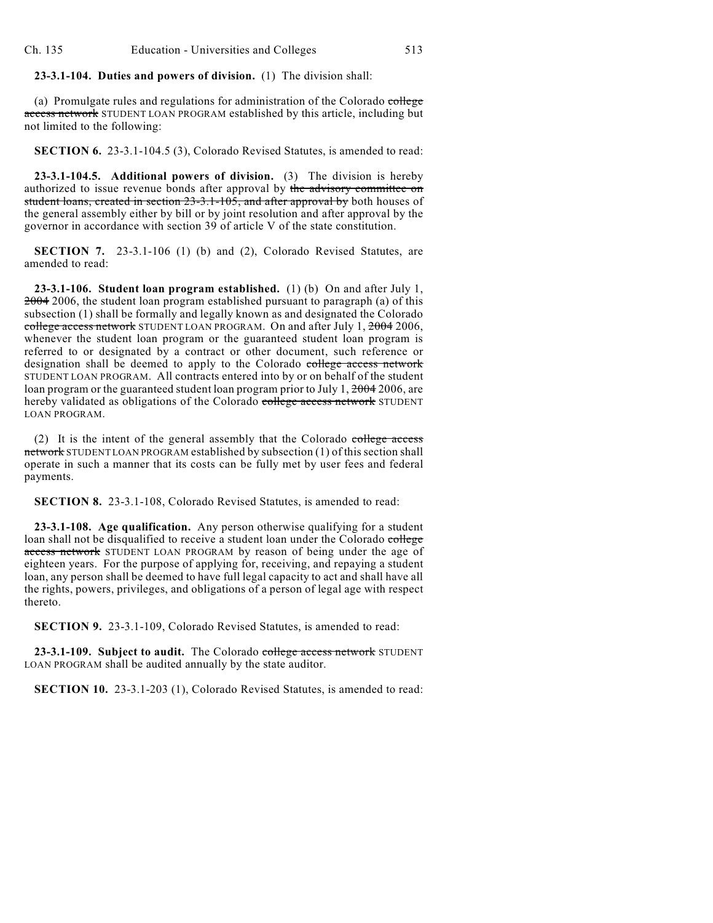## **23-3.1-104. Duties and powers of division.** (1) The division shall:

(a) Promulgate rules and regulations for administration of the Colorado college access network STUDENT LOAN PROGRAM established by this article, including but not limited to the following:

**SECTION 6.** 23-3.1-104.5 (3), Colorado Revised Statutes, is amended to read:

**23-3.1-104.5. Additional powers of division.** (3) The division is hereby authorized to issue revenue bonds after approval by the advisory committee on student loans, created in section 23-3.1-105, and after approval by both houses of the general assembly either by bill or by joint resolution and after approval by the governor in accordance with section 39 of article V of the state constitution.

**SECTION 7.** 23-3.1-106 (1) (b) and (2), Colorado Revised Statutes, are amended to read:

**23-3.1-106. Student loan program established.** (1) (b) On and after July 1, 2004 2006, the student loan program established pursuant to paragraph (a) of this subsection (1) shall be formally and legally known as and designated the Colorado college access network STUDENT LOAN PROGRAM. On and after July 1, 2004 2006, whenever the student loan program or the guaranteed student loan program is referred to or designated by a contract or other document, such reference or designation shall be deemed to apply to the Colorado college access network STUDENT LOAN PROGRAM. All contracts entered into by or on behalf of the student loan program or the guaranteed student loan program prior to July 1, 2004 2006, are hereby validated as obligations of the Colorado college access network STUDENT LOAN PROGRAM.

(2) It is the intent of the general assembly that the Colorado college access network STUDENT LOAN PROGRAM established by subsection (1) of this section shall operate in such a manner that its costs can be fully met by user fees and federal payments.

**SECTION 8.** 23-3.1-108, Colorado Revised Statutes, is amended to read:

**23-3.1-108. Age qualification.** Any person otherwise qualifying for a student loan shall not be disqualified to receive a student loan under the Colorado college access network STUDENT LOAN PROGRAM by reason of being under the age of eighteen years. For the purpose of applying for, receiving, and repaying a student loan, any person shall be deemed to have full legal capacity to act and shall have all the rights, powers, privileges, and obligations of a person of legal age with respect thereto.

**SECTION 9.** 23-3.1-109, Colorado Revised Statutes, is amended to read:

**23-3.1-109. Subject to audit.** The Colorado college access network STUDENT LOAN PROGRAM shall be audited annually by the state auditor.

**SECTION 10.** 23-3.1-203 (1), Colorado Revised Statutes, is amended to read: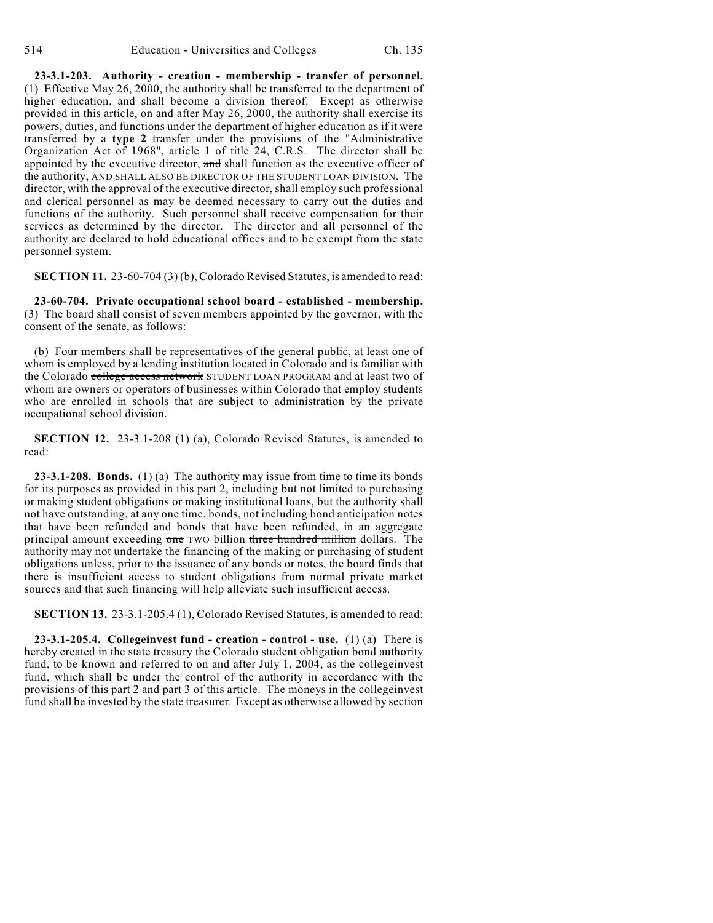**23-3.1-203. Authority - creation - membership - transfer of personnel.** (1) Effective May 26, 2000, the authority shall be transferred to the department of higher education, and shall become a division thereof. Except as otherwise provided in this article, on and after May 26, 2000, the authority shall exercise its powers, duties, and functions under the department of higher education as if it were transferred by a **type 2** transfer under the provisions of the "Administrative Organization Act of 1968", article 1 of title 24, C.R.S. The director shall be appointed by the executive director, and shall function as the executive officer of the authority, AND SHALL ALSO BE DIRECTOR OF THE STUDENT LOAN DIVISION. The director, with the approval of the executive director, shall employ such professional and clerical personnel as may be deemed necessary to carry out the duties and functions of the authority. Such personnel shall receive compensation for their services as determined by the director. The director and all personnel of the authority are declared to hold educational offices and to be exempt from the state personnel system.

**SECTION 11.** 23-60-704 (3) (b), Colorado Revised Statutes, is amended to read:

**23-60-704. Private occupational school board - established - membership.** (3) The board shall consist of seven members appointed by the governor, with the consent of the senate, as follows:

(b) Four members shall be representatives of the general public, at least one of whom is employed by a lending institution located in Colorado and is familiar with the Colorado college access network STUDENT LOAN PROGRAM and at least two of whom are owners or operators of businesses within Colorado that employ students who are enrolled in schools that are subject to administration by the private occupational school division.

**SECTION 12.** 23-3.1-208 (1) (a), Colorado Revised Statutes, is amended to read:

**23-3.1-208. Bonds.** (1) (a) The authority may issue from time to time its bonds for its purposes as provided in this part 2, including but not limited to purchasing or making student obligations or making institutional loans, but the authority shall not have outstanding, at any one time, bonds, not including bond anticipation notes that have been refunded and bonds that have been refunded, in an aggregate principal amount exceeding one TWO billion three hundred million dollars. The authority may not undertake the financing of the making or purchasing of student obligations unless, prior to the issuance of any bonds or notes, the board finds that there is insufficient access to student obligations from normal private market sources and that such financing will help alleviate such insufficient access.

**SECTION 13.** 23-3.1-205.4 (1), Colorado Revised Statutes, is amended to read:

**23-3.1-205.4. Collegeinvest fund - creation - control - use.** (1) (a) There is hereby created in the state treasury the Colorado student obligation bond authority fund, to be known and referred to on and after July 1, 2004, as the collegeinvest fund, which shall be under the control of the authority in accordance with the provisions of this part 2 and part 3 of this article. The moneys in the collegeinvest fund shall be invested by the state treasurer. Except as otherwise allowed by section